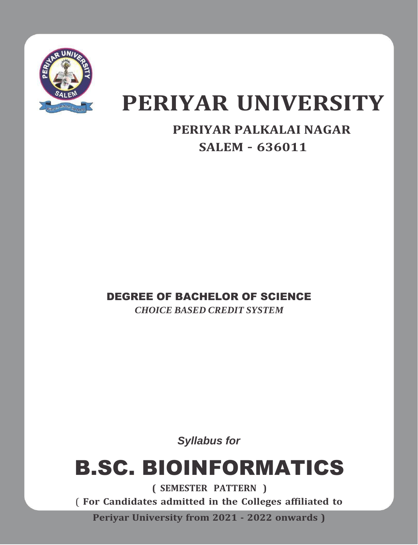

# **PERIYAR UNIVERSITY**

# **PERIYAR PALKALAI NAGAR SALEM – 636011**

# DEGREE OF BACHELOR OF SCIENCE

*CHOICE BASED CREDIT SYSTEM*

*Syllabus for*

# B.SC. BIOINFORMATICS

**( SEMESTER PATTERN )** ( **For Candidates admitted in the Colleges affiliated to Periyar University from 2021 - 2022 onwards )**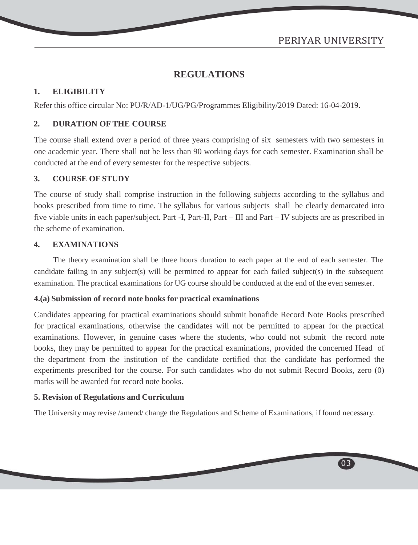03

# **REGULATIONS**

# **1. ELIGIBILITY**

Refer this office circular No: PU/R/AD-1/UG/PG/Programmes Eligibility/2019 Dated: 16-04-2019.

# **2. DURATION OF THE COURSE**

The course shall extend over a period of three years comprising of six semesters with two semesters in one academic year. There shall not be less than 90 working days for each semester. Examination shall be conducted at the end of every semester for the respective subjects.

# **3. COURSE OF STUDY**

The course of study shall comprise instruction in the following subjects according to the syllabus and books prescribed from time to time. The syllabus for various subjects shall be clearly demarcated into five viable units in each paper/subject. Part -I, Part-II, Part – III and Part – IV subjects are as prescribed in the scheme of examination.

#### **4. EXAMINATIONS**

The theory examination shall be three hours duration to each paper at the end of each semester. The candidate failing in any subject(s) will be permitted to appear for each failed subject(s) in the subsequent examination. The practical examinations for UG course should be conducted at the end of the even semester.

#### **4.(a) Submission of record note books for practical examinations**

Candidates appearing for practical examinations should submit bonafide Record Note Books prescribed for practical examinations, otherwise the candidates will not be permitted to appear for the practical examinations. However, in genuine cases where the students, who could not submit the record note books, they may be permitted to appear for the practical examinations, provided the concerned Head of the department from the institution of the candidate certified that the candidate has performed the experiments prescribed for the course. For such candidates who do not submit Record Books, zero (0) marks will be awarded for record note books.

# **5. Revision of Regulations and Curriculum**

The University may revise /amend/ change the Regulations and Scheme of Examinations, if found necessary.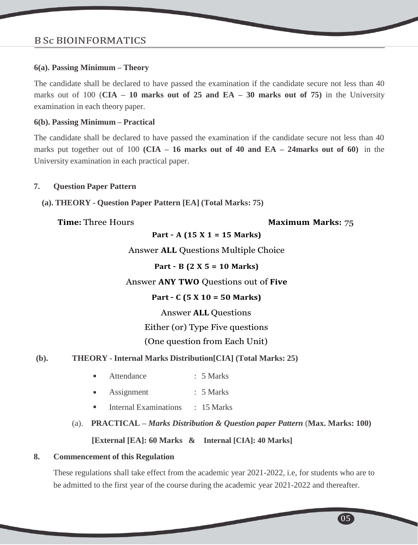#### **6(a). Passing Minimum – Theory**

The candidate shall be declared to have passed the examination if the candidate secure not less than 40 marks out of 100 (**CIA – 10 marks out of 25 and EA – 30 marks out of 75)** in the University examination in each theory paper.

#### **6(b). Passing Minimum – Practical**

The candidate shall be declared to have passed the examination if the candidate secure not less than 40 marks put together out of 100 **(CIA – 16 marks out of 40 and EA – 24marks out of 60)** in the University examination in each practical paper.

#### **7. Question Paper Pattern**

**(a). THEORY - Question Paper Pattern [EA] (Total Marks: 75)**

#### **Time:** Three Hours **Maximum** Marks: 75

**Part – A (15 X 1 = 15 Marks)**

Answer **ALL** Questions Multiple Choice

**Part – B (2 X 5 = 10 Marks)**

# Answer **ANY TWO** Questions out of **Five**

# **Part – C (5 X 10 = 50 Marks)**

Answer **ALL** Questions

# Either (or) Type Five questions

# (One question from Each Unit)

# **(b). THEORY - Internal Marks Distribution[CIA] (Total Marks: 25)**

- Attendance : 5 Marks
- **Assignment** : 5 Marks
- Internal Examinations : 15 Marks
- (a). **PRACTICAL –** *Marks Distribution & Question paper Pattern* (**Max. Marks: 100)**

# **[External [EA]: 60 Marks & Internal [CIA]: 40 Marks]**

#### **8. Commencement of this Regulation**

These regulations shall take effect from the academic year 2021-2022, i.e, for students who are to be admitted to the first year of the course during the academic year 2021-2022 and thereafter.

05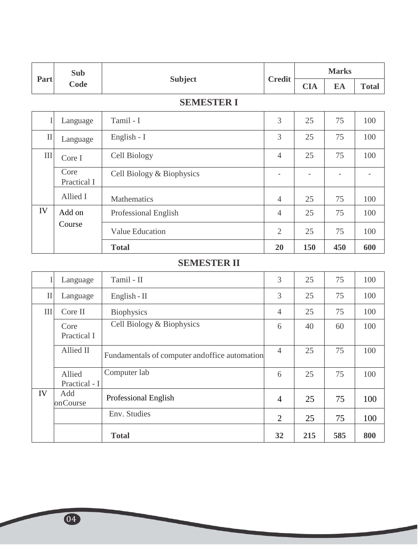| Part      | Sub                 | <b>Subject</b>            | <b>Credit</b>            | <b>Marks</b> |                          |              |
|-----------|---------------------|---------------------------|--------------------------|--------------|--------------------------|--------------|
|           | Code                |                           |                          | <b>CIA</b>   | EA                       | <b>Total</b> |
|           |                     | <b>SEMESTER I</b>         |                          |              |                          |              |
| I         | Language            | Tamil - I                 | 3                        | 25           | 75                       | 100          |
| $\rm II$  | Language            | English - I               | 3                        | 25           | 75                       | 100          |
| $\rm III$ | Core I              | Cell Biology              | $\overline{4}$           | 25           | 75                       | 100          |
|           | Core<br>Practical I | Cell Biology & Biophysics | $\overline{\phantom{a}}$ |              | $\overline{\phantom{0}}$ |              |
|           | Allied I            | Mathematics               | $\overline{4}$           | 25           | 75                       | 100          |
| IV        | Add on              | Professional English      | $\overline{4}$           | 25           | 75                       | 100          |
|           | Course              | <b>Value Education</b>    | $\overline{2}$           | 25           | 75                       | 100          |
|           |                     | <b>Total</b>              | 20                       | 150          | 450                      | 600          |

# **SEMESTER II**

| $\mathbf{I}$ | Language                | Tamil - II                                     | 3              | 25  | 75  | 100 |
|--------------|-------------------------|------------------------------------------------|----------------|-----|-----|-----|
| $\mathbf{I}$ | Language                | English - $II$                                 | 3              | 25  | 75  | 100 |
| III          | Core II                 | <b>Biophysics</b>                              | $\overline{4}$ | 25  | 75  | 100 |
|              | Core<br>Practical I     | Cell Biology & Biophysics                      | 6              | 40  | 60  | 100 |
|              | Allied II               | Fundamentals of computer and office automation | $\overline{4}$ | 25  | 75  | 100 |
|              | Allied<br>Practical - I | Computer lab                                   | 6              | 25  | 75  | 100 |
| IV           | Add<br>onCourse         | Professional English                           | $\overline{4}$ | 25  | 75  | 100 |
|              |                         | Env. Studies                                   | 2              | 25  | 75  | 100 |
|              |                         | <b>Total</b>                                   | 32             | 215 | 585 | 800 |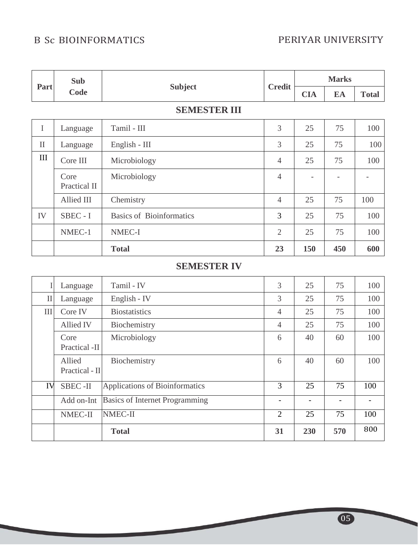# B Sc BIOINFORMATICS PERIYAR UNIVERSITY

| Part         | <b>Sub</b>           |                                 | <b>Credit</b>  | <b>Marks</b> |     |              |
|--------------|----------------------|---------------------------------|----------------|--------------|-----|--------------|
|              | Code                 | <b>Subject</b>                  |                | <b>CIA</b>   | EA  | <b>Total</b> |
|              |                      | <b>SEMESTER III</b>             |                |              |     |              |
| $\mathbf I$  | Language             | Tamil - III                     | 3              | 25           | 75  | 100          |
| $\mathbf{I}$ | Language             | English - III                   | 3              | 25           | 75  | 100          |
| III          | Core III             | Microbiology                    | $\overline{4}$ | 25           | 75  | 100          |
|              | Core<br>Practical II | Microbiology                    | $\overline{4}$ |              |     |              |
|              | Allied III           | Chemistry                       | $\overline{4}$ | 25           | 75  | 100          |
| IV           | SBEC - I             | <b>Basics of Bioinformatics</b> | 3              | 25           | 75  | 100          |
|              | NMEC-1               | NMEC-I                          | $\overline{2}$ | 25           | 75  | 100          |
|              |                      | <b>Total</b>                    | 23             | 150          | 450 | 600          |

# **SEMESTER IV**

| I            | Language                 | Tamil - IV                            | 3              | 25  | 75  | 100 |
|--------------|--------------------------|---------------------------------------|----------------|-----|-----|-----|
| $\mathbf{I}$ | Language                 | English - IV                          | 3              | 25  | 75  | 100 |
| III          | Core IV                  | <b>Biostatistics</b>                  | $\overline{4}$ | 25  | 75  | 100 |
|              | Allied IV                | Biochemistry                          | $\overline{4}$ | 25  | 75  | 100 |
|              | Core<br>Practical -II    | Microbiology                          | 6              | 40  | 60  | 100 |
|              | Allied<br>Practical - II | Biochemistry                          | 6              | 40  | 60  | 100 |
| IV           | <b>SBEC-II</b>           | Applications of Bioinformatics        | 3              | 25  | 75  | 100 |
|              | Add on-Int               | <b>Basics of Internet Programming</b> |                |     |     |     |
|              | NMEC-II                  | NMEC-II                               | $\overline{2}$ | 25  | 75  | 100 |
|              |                          | <b>Total</b>                          | 31             | 230 | 570 | 800 |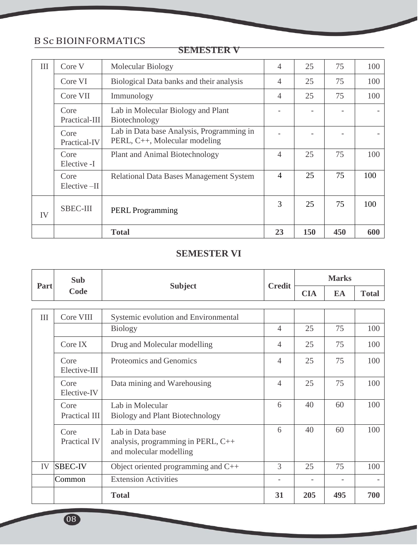| III | Core V                | Molecular Biology                                                          | $\overline{4}$ | 25  | 75  | 100 |
|-----|-----------------------|----------------------------------------------------------------------------|----------------|-----|-----|-----|
|     | Core VI               | Biological Data banks and their analysis                                   | $\overline{4}$ | 25  | 75  | 100 |
|     | Core VII              | Immunology                                                                 | $\overline{4}$ | 25  | 75  | 100 |
|     | Core<br>Practical-III | Lab in Molecular Biology and Plant<br>Biotechnology                        |                |     |     |     |
|     | Core<br>Practical-IV  | Lab in Data base Analysis, Programming in<br>PERL, C++, Molecular modeling |                |     |     |     |
|     | Core<br>Elective -I   | Plant and Animal Biotechnology                                             | $\overline{4}$ | 25  | 75  | 100 |
|     | Core<br>Elective-II   | Relational Data Bases Management System                                    | $\overline{4}$ | 25  | 75  | 100 |
| IV  | <b>SBEC-III</b>       | <b>PERL</b> Programming                                                    | 3              | 25  | 75  | 100 |
|     |                       | <b>Total</b>                                                               | 23             | 150 | 450 | 600 |

#### **SEMESTER V**

# **SEMESTER VI**

|      | <b>Sub</b><br>Code    | <b>Subject</b>                                                                    | <b>Credit</b>            | <b>Marks</b> |     |              |
|------|-----------------------|-----------------------------------------------------------------------------------|--------------------------|--------------|-----|--------------|
| Part |                       |                                                                                   |                          | <b>CIA</b>   | EA  | <b>Total</b> |
|      |                       |                                                                                   |                          |              |     |              |
| III  | Core VIII             | Systemic evolution and Environmental                                              |                          |              |     |              |
|      |                       | <b>Biology</b>                                                                    | $\overline{4}$           | 25           | 75  | 100          |
|      | Core IX               | Drug and Molecular modelling                                                      | $\overline{4}$           | 25           | 75  | 100          |
|      | Core<br>Elective-III  | Proteomics and Genomics                                                           | 4                        | 25           | 75  | 100          |
|      | Core<br>Elective-IV   | Data mining and Warehousing                                                       | $\overline{4}$           | 25           | 75  | 100          |
|      | Core<br>Practical III | Lab in Molecular<br>Biology and Plant Biotechnology                               | 6                        | 40           | 60  | 100          |
|      | Core<br>Practical IV  | Lab in Data base<br>analysis, programming in PERL, C++<br>and molecular modelling | 6                        | 40           | 60  | 100          |
| IV   | <b>SBEC-IV</b>        | Object oriented programming and C++                                               | 3                        | 25           | 75  | 100          |
|      | Common                | <b>Extension Activities</b>                                                       | $\overline{\phantom{a}}$ |              |     |              |
|      |                       | <b>Total</b>                                                                      | 31                       | 205          | 495 | 700          |

08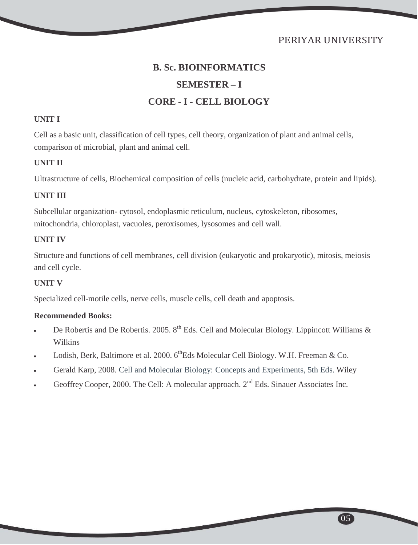# PERIYAR UNIVERSITY

# **B. Sc. BIOINFORMATICS SEMESTER – I CORE - I - CELL BIOLOGY**

#### **UNIT I**

Cell as a basic unit, classification of cell types, cell theory, organization of plant and animal cells, comparison of microbial, plant and animal cell.

#### **UNIT II**

Ultrastructure of cells, Biochemical composition of cells (nucleic acid, carbohydrate, protein and lipids).

# **UNIT III**

Subcellular organization- cytosol, endoplasmic reticulum, nucleus, cytoskeleton, ribosomes, mitochondria, chloroplast, vacuoles, peroxisomes, lysosomes and cell wall.

# **UNIT IV**

Structure and functions of cell membranes, cell division (eukaryotic and prokaryotic), mitosis, meiosis and cell cycle.

# **UNIT V**

Specialized cell-motile cells, nerve cells, muscle cells, cell death and apoptosis.

- De Robertis and De Robertis. 2005.  $8^{th}$  Eds. Cell and Molecular Biology. Lippincott Williams & Wilkins
- Lodish, Berk, Baltimore et al. 2000.  $6^{\text{th}}$ Eds Molecular Cell Biology. W.H. Freeman & Co.
- Gerald Karp, 2008. Cell and Molecular Biology: Concepts and Experiments, 5th Eds. Wiley
- Geoffrey Cooper, 2000. The Cell: A molecular approach. 2<sup>nd</sup> Eds. Sinauer Associates Inc.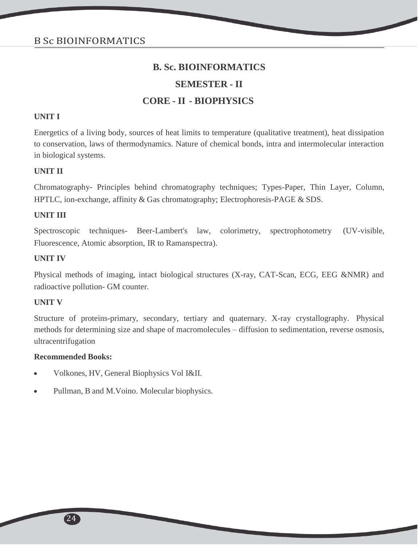# **SEMESTER - II**

# **CORE - II - BIOPHYSICS**

#### **UNIT I**

Energetics of a living body, sources of heat limits to temperature (qualitative treatment), heat dissipation to conservation, laws of thermodynamics. Nature of chemical bonds, intra and intermolecular interaction in biological systems.

#### **UNIT II**

Chromatography- Principles behind chromatography techniques; Types-Paper, Thin Layer, Column, HPTLC, ion-exchange, affinity & Gas chromatography; Electrophoresis-PAGE & SDS.

#### **UNIT III**

Spectroscopic techniques- Beer-Lambert's law, colorimetry, spectrophotometry (UV-visible, Fluorescence, Atomic absorption, IR to Ramanspectra).

#### **UNIT IV**

Physical methods of imaging, intact biological structures (X-ray, CAT-Scan, ECG, EEG &NMR) and radioactive pollution- GM counter.

#### **UNIT V**

Structure of proteins-primary, secondary, tertiary and quaternary. X-ray crystallography. Physical methods for determining size and shape of macromolecules – diffusion to sedimentation, reverse osmosis, ultracentrifugation

- Volkones, HV, General Biophysics Vol I&II.
- Pullman, B and M.Voino. Molecular biophysics.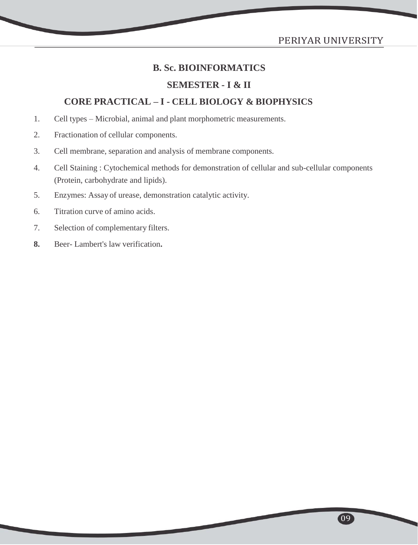# PERIYAR UNIVERSITY

09

# **B. Sc. BIOINFORMATICS**

## **SEMESTER - I & II**

# **CORE PRACTICAL – I - CELL BIOLOGY & BIOPHYSICS**

- 1. Cell types Microbial, animal and plant morphometric measurements.
- 2. Fractionation of cellular components.
- 3. Cell membrane, separation and analysis of membrane components.
- 4. Cell Staining : Cytochemical methods for demonstration of cellular and sub-cellular components (Protein, carbohydrate and lipids).
- 5. Enzymes: Assay of urease, demonstration catalytic activity.
- 6. Titration curve of amino acids.
- 7. Selection of complementary filters.
- **8.** Beer- Lambert's law verification**.**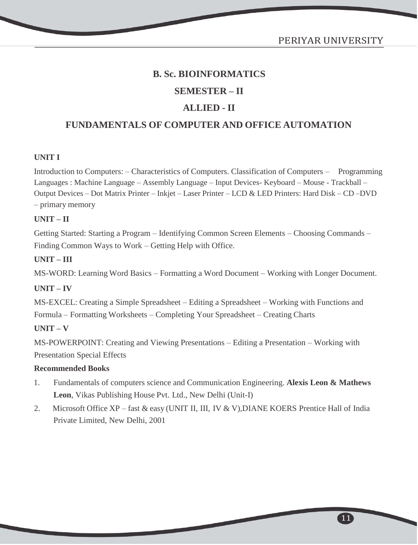# **B. Sc. BIOINFORMATICS SEMESTER – II ALLIED - II**

# **FUNDAMENTALS OF COMPUTER AND OFFICE AUTOMATION**

# **UNIT I**

Introduction to Computers: – Characteristics of Computers. Classification of Computers – Programming Languages : Machine Language – Assembly Language – Input Devices- Keyboard – Mouse - Trackball – Output Devices – Dot Matrix Printer – Inkjet – Laser Printer – LCD & LED Printers: Hard Disk – CD –DVD – primary memory

# **UNIT – II**

Getting Started: Starting a Program – Identifying Common Screen Elements – Choosing Commands – Finding Common Ways to Work – Getting Help with Office.

# **UNIT – III**

MS-WORD: Learning Word Basics – Formatting a Word Document – Working with Longer Document.

# **UNIT – IV**

MS-EXCEL: Creating a Simple Spreadsheet – Editing a Spreadsheet – Working with Functions and Formula – Formatting Worksheets – Completing Your Spreadsheet – Creating Charts

# **UNIT – V**

MS-POWERPOINT: Creating and Viewing Presentations – Editing a Presentation – Working with Presentation Special Effects

# **Recommended Books**

- 1. Fundamentals of computers science and Communication Engineering. **Alexis Leon & Mathews Leon**, Vikas Publishing House Pvt. Ltd., New Delhi (Unit-I)
- 2. Microsoft Office XP fast & easy (UNIT II, III, IV & V), DIANE KOERS Prentice Hall of India Private Limited, New Delhi, 2001

 $\boxed{11}$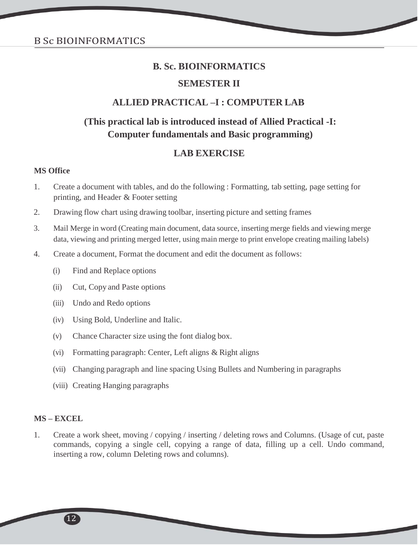# **SEMESTER II**

# **ALLIED PRACTICAL –I : COMPUTER LAB**

# **(This practical lab is introduced instead of Allied Practical -I: Computer fundamentals and Basic programming)**

# **LAB EXERCISE**

#### **MS Office**

- 1. Create a document with tables, and do the following : Formatting, tab setting, page setting for printing, and Header & Footer setting
- 2. Drawing flow chart using drawing toolbar, inserting picture and setting frames
- 3. Mail Merge in word (Creating main document, data source, inserting merge fields and viewing merge data, viewing and printing merged letter, using main merge to print envelope creating mailing labels)
- 4. Create a document, Format the document and edit the document as follows:
	- (i) Find and Replace options
	- (ii) Cut, Copy and Paste options
	- (iii) Undo and Redo options
	- (iv) Using Bold, Underline and Italic.
	- (v) Chance Character size using the font dialog box.
	- (vi) Formatting paragraph: Center, Left aligns & Right aligns
	- (vii) Changing paragraph and line spacing Using Bullets and Numbering in paragraphs
	- (viii) Creating Hanging paragraphs

#### **MS – EXCEL**

1. Create a work sheet, moving / copying / inserting / deleting rows and Columns. (Usage of cut, paste commands, copying a single cell, copying a range of data, filling up a cell. Undo command, inserting a row, column Deleting rows and columns).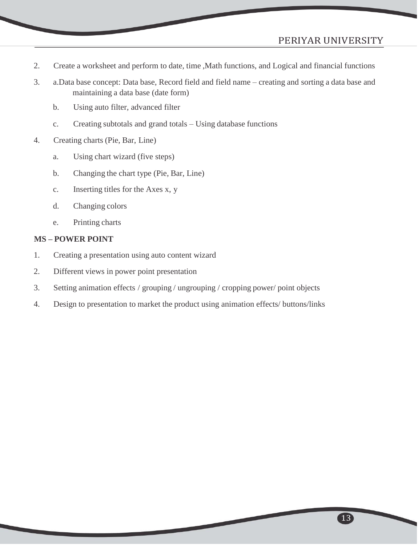- 2. Create a worksheet and perform to date, time ,Math functions, and Logical and financial functions
- 3. a.Data base concept: Data base, Record field and field name creating and sorting a data base and maintaining a data base (date form)
	- b. Using auto filter, advanced filter
	- c. Creating subtotals and grand totals Using database functions
- 4. Creating charts (Pie, Bar, Line)
	- a. Using chart wizard (five steps)
	- b. Changing the chart type (Pie, Bar, Line)
	- c. Inserting titles for the Axes x, y
	- d. Changing colors
	- e. Printing charts

#### **MS – POWER POINT**

- 1. Creating a presentation using auto content wizard
- 2. Different views in power point presentation
- 3. Setting animation effects / grouping / ungrouping / cropping power/ point objects
- 4. Design to presentation to market the product using animation effects/ buttons/links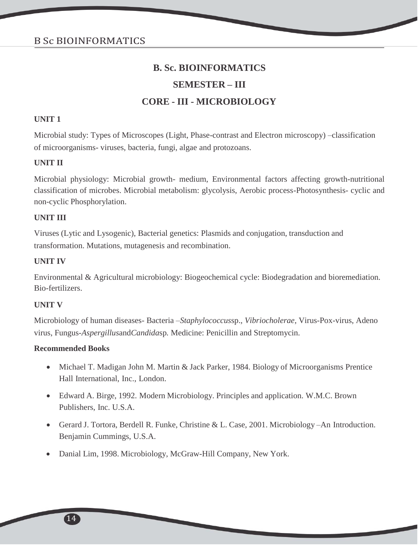# **SEMESTER – III**

# **CORE - III - MICROBIOLOGY**

## **UNIT 1**

Microbial study: Types of Microscopes (Light, Phase-contrast and Electron microscopy) –classification of microorganisms- viruses, bacteria, fungi, algae and protozoans.

# **UNIT II**

Microbial physiology: Microbial growth- medium, Environmental factors affecting growth-nutritional classification of microbes. Microbial metabolism: glycolysis, Aerobic process-Photosynthesis- cyclic and non-cyclic Phosphorylation.

# **UNIT III**

Viruses (Lytic and Lysogenic), Bacterial genetics: Plasmids and conjugation, transduction and transformation. Mutations, mutagenesis and recombination.

# **UNIT IV**

Environmental & Agricultural microbiology: Biogeochemical cycle: Biodegradation and bioremediation. Bio-fertilizers.

# **UNIT V**

Microbiology of human diseases- Bacteria –*Staphylococcus*sp.*, Vibriocholerae*, Virus-Pox-virus, Adeno virus, Fungus-*Aspergillus*and*Candida*sp*.* Medicine: Penicillin and Streptomycin.

- Michael T. Madigan John M. Martin & Jack Parker, 1984. Biology of Microorganisms Prentice Hall International, Inc., London.
- Edward A. Birge, 1992. Modern Microbiology. Principles and application. W.M.C. Brown Publishers, Inc. U.S.A.
- Gerard J. Tortora, Berdell R. Funke, Christine & L. Case, 2001. Microbiology –An Introduction. Benjamin Cummings, U.S.A.
- Danial Lim, 1998. Microbiology, McGraw-Hill Company, New York.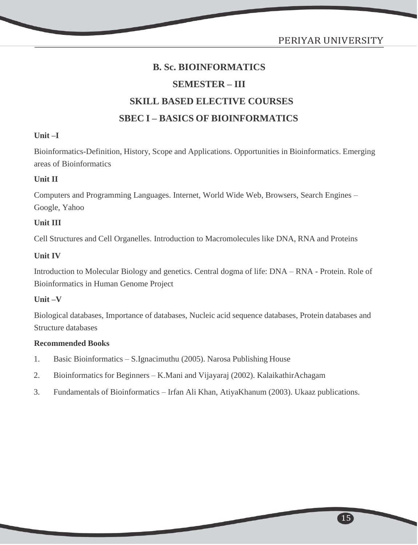# **B. Sc. BIOINFORMATICS SEMESTER – III SKILL BASED ELECTIVE COURSES SBEC I – BASICS OF BIOINFORMATICS**

# **Unit –I**

Bioinformatics-Definition, History, Scope and Applications. Opportunities in Bioinformatics. Emerging areas of Bioinformatics

# **Unit II**

Computers and Programming Languages. Internet, World Wide Web, Browsers, Search Engines – Google, Yahoo

# **Unit III**

Cell Structures and Cell Organelles. Introduction to Macromolecules like DNA, RNA and Proteins

# **Unit IV**

Introduction to Molecular Biology and genetics. Central dogma of life: DNA – RNA - Protein. Role of Bioinformatics in Human Genome Project

# **Unit –V**

Biological databases, Importance of databases, Nucleic acid sequence databases, Protein databases and Structure databases

- 1. Basic Bioinformatics S.Ignacimuthu (2005). Narosa Publishing House
- 2. Bioinformatics for Beginners K.Mani and Vijayaraj (2002). KalaikathirAchagam
- 3. Fundamentals of Bioinformatics Irfan Ali Khan, AtiyaKhanum (2003). Ukaaz publications.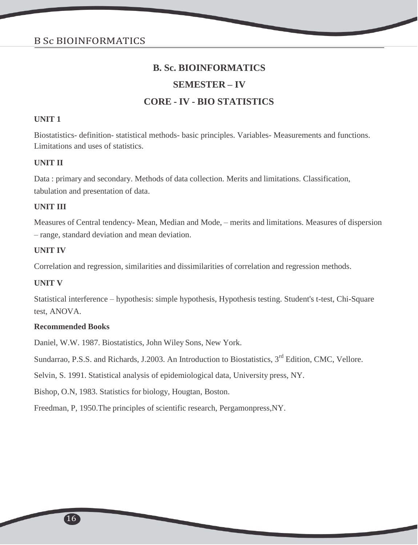## **SEMESTER – IV**

# **CORE - IV - BIO STATISTICS**

#### **UNIT 1**

Biostatistics- definition- statistical methods- basic principles. Variables- Measurements and functions. Limitations and uses of statistics.

#### **UNIT II**

Data : primary and secondary. Methods of data collection. Merits and limitations. Classification, tabulation and presentation of data.

# **UNIT III**

Measures of Central tendency- Mean, Median and Mode, – merits and limitations. Measures of dispersion – range, standard deviation and mean deviation.

#### **UNIT IV**

Correlation and regression, similarities and dissimilarities of correlation and regression methods.

#### **UNIT V**

Statistical interference – hypothesis: simple hypothesis, Hypothesis testing. Student's t-test, Chi-Square test, ANOVA.

#### **Recommended Books**

Daniel, W.W. 1987. Biostatistics, John Wiley Sons, New York.

Sundarrao, P.S.S. and Richards, J.2003. An Introduction to Biostatistics, 3<sup>rd</sup> Edition, CMC, Vellore.

Selvin, S. 1991. Statistical analysis of epidemiological data, University press, NY.

Bishop, O.N, 1983. Statistics for biology, Hougtan, Boston.

Freedman, P, 1950.The principles of scientific research, Pergamonpress,NY.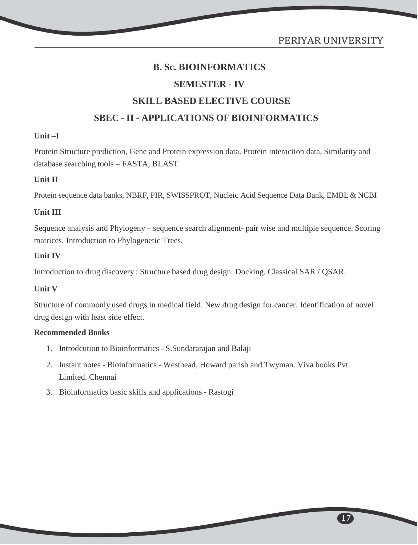# **SEMESTER - IV**

# **SKILL BASED ELECTIVE COURSE**

# **SBEC - II - APPLICATIONS OF BIOINFORMATICS**

# **Unit –I**

Protein Structure prediction, Gene and Protein expression data. Protein interaction data, Similarity and database searching tools – FASTA, BLAST

# **Unit II**

Protein sequence data banks, NBRF, PIR, SWISSPROT, Nucleic Acid Sequence Data Bank, EMBL & NCBI

# **Unit III**

Sequence analysis and Phylogeny – sequence search alignment- pair wise and multiple sequence. Scoring matrices. Introduction to Phylogenetic Trees.

# **Unit IV**

Introduction to drug discovery : Structure based drug design. Docking. Classical SAR / QSAR.

# **Unit V**

Structure of commonly used drugs in medical field. New drug design for cancer. Identification of novel drug design with least side effect.

- 1. Introdcution to Bioinformatics S.Sundararajan and Balaji
- 2. Instant notes Bioinformatics Westhead, Howard parish and Twyman. Viva books Pvt. Limited. Chennai
- 3. Bioinformatics basic skills and applications Rastogi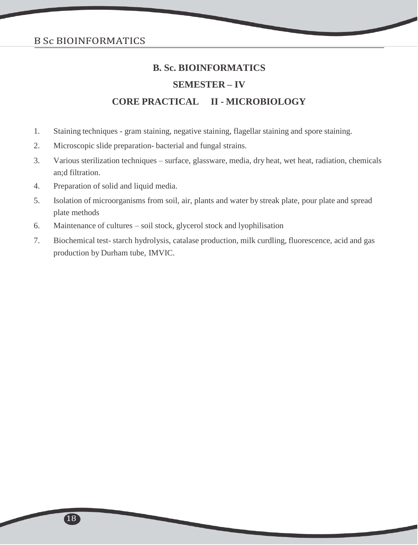# **B. Sc. BIOINFORMATICS SEMESTER – IV CORE PRACTICAL II - MICROBIOLOGY**

- 1. Staining techniques gram staining, negative staining, flagellar staining and spore staining.
- 2. Microscopic slide preparation- bacterial and fungal strains.
- 3. Various sterilization techniques surface, glassware, media, dry heat, wet heat, radiation, chemicals an;d filtration.
- 4. Preparation of solid and liquid media.
- 5. Isolation of microorganisms from soil, air, plants and water by streak plate, pour plate and spread plate methods
- 6. Maintenance of cultures soil stock, glycerol stock and lyophilisation
- 7. Biochemical test- starch hydrolysis, catalase production, milk curdling, fluorescence, acid and gas production by Durham tube, IMVIC.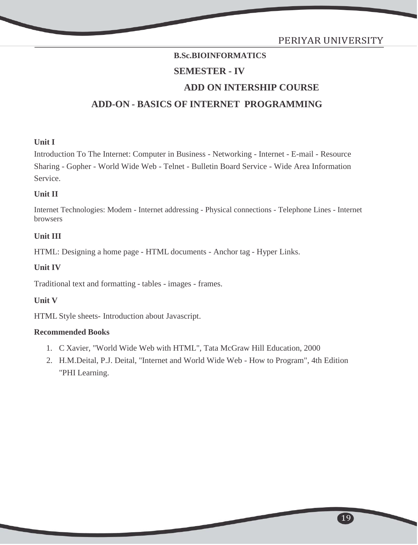# **B.Sc.BIOINFORMATICS SEMESTER - IV ADD ON INTERSHIP COURSE ADD-ON - BASICS OF INTERNET PROGRAMMING**

# **Unit I**

Introduction To The Internet: Computer in Business - Networking - Internet - E-mail - Resource Sharing - Gopher - World Wide Web - Telnet - Bulletin Board Service - Wide Area Information Service.

# **Unit II**

Internet Technologies: Modem - Internet addressing - Physical connections - Telephone Lines - Internet browsers

# **Unit III**

HTML: Designing a home page - HTML documents - Anchor tag - Hyper Links.

# **Unit IV**

Traditional text and formatting - tables - images - frames.

# **Unit V**

HTML Style sheets- Introduction about Javascript.

# **Recommended Books**

- 1. C Xavier, "World Wide Web with HTML", Tata McGraw Hill Education, 2000
- 2. H.M.Deital, P.J. Deital, "Internet and World Wide Web How to Program", 4th Edition "PHI Learning.

19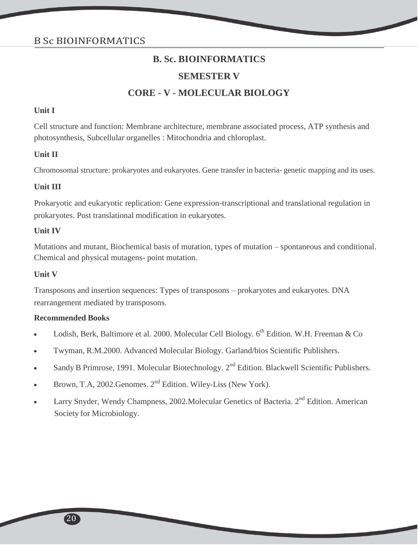# **B. Sc. BIOINFORMATICS SEMESTER V CORE - V - MOLECULAR BIOLOGY**

## **Unit I**

Cell structure and function: Membrane architecture, membrane associated process, ATP synthesis and photosynthesis, Subcellular organelles : Mitochondria and chloroplast.

#### **Unit II**

Chromosomal structure: prokaryotes and eukaryotes. Gene transfer in bacteria- genetic mapping and its uses.

#### **Unit III**

Prokaryotic and eukaryotic replication: Gene expression-transcriptional and translational regulation in prokaryotes. Post translational modification in eukaryotes.

#### **Unit IV**

Mutations and mutant, Biochemical basis of mutation, types of mutation – spontaneous and conditional. Chemical and physical mutagens- point mutation.

#### **Unit V**

Transposons and insertion sequences: Types of transposons – prokaryotes and eukaryotes. DNA rearrangement mediated by transposons.

- Lodish, Berk, Baltimore et al. 2000. Molecular Cell Biology.  $6^{th}$  Edition. W.H. Freeman & Co
- Twyman, R.M.2000. Advanced Molecular Biology. Garland/bios Scientific Publishers.
- Sandy B Primrose, 1991. Molecular Biotechnology.  $2<sup>nd</sup>$  Edition. Blackwell Scientific Publishers.
- Brown, T.A, 2002. Genomes.  $2<sup>nd</sup>$  Edition. Wiley-Liss (New York).
- Larry Snyder, Wendy Champness, 2002. Molecular Genetics of Bacteria. 2<sup>nd</sup> Edition. American Society for Microbiology.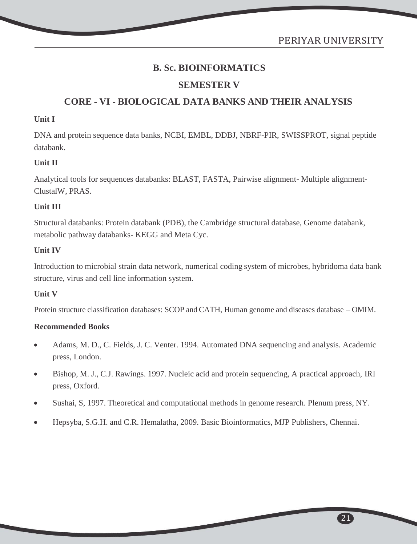PERIYAR UNIVERSITY

# **B. Sc. BIOINFORMATICS**

# **SEMESTER V**

# **CORE - VI - BIOLOGICAL DATA BANKS AND THEIR ANALYSIS**

## **Unit I**

DNA and protein sequence data banks, NCBI, EMBL, DDBJ, NBRF-PIR, SWISSPROT, signal peptide databank.

# **Unit II**

Analytical tools for sequences databanks: BLAST, FASTA, Pairwise alignment- Multiple alignment-ClustalW, PRAS.

# **Unit III**

Structural databanks: Protein databank (PDB), the Cambridge structural database, Genome databank, metabolic pathway databanks- KEGG and Meta Cyc.

# **Unit IV**

Introduction to microbial strain data network, numerical coding system of microbes, hybridoma data bank structure, virus and cell line information system.

# **Unit V**

Protein structure classification databases: SCOP and CATH, Human genome and diseases database – OMIM.

- Adams, M. D., C. Fields, J. C. Venter. 1994. Automated DNA sequencing and analysis. Academic press, London.
- Bishop, M. J., C.J. Rawings. 1997. Nucleic acid and protein sequencing, A practical approach, IRI press, Oxford.
- Sushai, S, 1997. Theoretical and computational methods in genome research. Plenum press, NY.
- Hepsyba, S.G.H. and C.R. Hemalatha, 2009. Basic Bioinformatics, MJP Publishers, Chennai.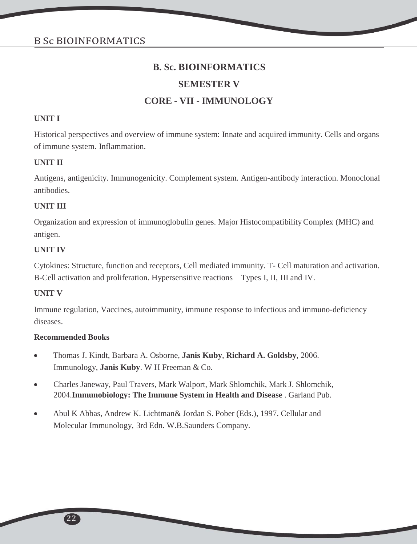# **SEMESTER V**

# **CORE - VII - IMMUNOLOGY**

## **UNIT I**

Historical perspectives and overview of immune system: Innate and acquired immunity. Cells and organs of immune system. Inflammation.

# **UNIT II**

Antigens, antigenicity. Immunogenicity. Complement system. Antigen-antibody interaction. Monoclonal antibodies.

# **UNIT III**

Organization and expression of immunoglobulin genes. Major HistocompatibilityComplex (MHC) and antigen.

#### **UNIT IV**

Cytokines: Structure, function and receptors, Cell mediated immunity. T- Cell maturation and activation. B-Cell activation and proliferation. Hypersensitive reactions – Types I, II, III and IV.

# **UNIT V**

Immune regulation, Vaccines, autoimmunity, immune response to infectious and immuno-deficiency diseases.

- Thomas J. Kindt, Barbara A. Osborne, **Janis Kuby**, **Richard A. Goldsby**, 2006. Immunology, **Janis Kuby**. W H Freeman & Co.
- Charles Janeway, Paul Travers, Mark Walport, Mark Shlomchik, Mark J. Shlomchik, 2004.**Immunobiology: The Immune System in Health and Disease** . Garland Pub.
- Abul K Abbas, Andrew K. Lichtman& Jordan S. Pober (Eds.), 1997. Cellular and Molecular Immunology, 3rd Edn. W.B.Saunders Company.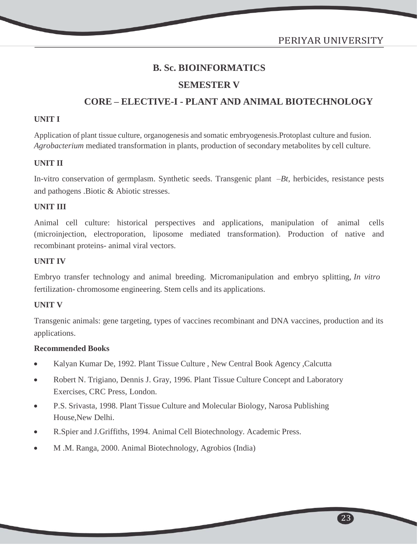PERIYAR UNIVERSITY

# **B. Sc. BIOINFORMATICS**

# **SEMESTER V**

# **CORE – ELECTIVE-I - PLANT AND ANIMAL BIOTECHNOLOGY**

#### **UNIT I**

Application of plant tissue culture, organogenesis and somatic embryogenesis.Protoplast culture and fusion. *Agrobacterium* mediated transformation in plants, production of secondary metabolites by cell culture.

#### **UNIT II**

In-vitro conservation of germplasm. Synthetic seeds. Transgenic plant –*Bt*, herbicides, resistance pests and pathogens .Biotic & Abiotic stresses.

## **UNIT III**

Animal cell culture: historical perspectives and applications, manipulation of animal cells (microinjection, electroporation, liposome mediated transformation). Production of native and recombinant proteins- animal viral vectors.

#### **UNIT IV**

Embryo transfer technology and animal breeding. Micromanipulation and embryo splitting, *In vitro* fertilization- chromosome engineering. Stem cells and its applications.

#### **UNIT V**

Transgenic animals: gene targeting, types of vaccines recombinant and DNA vaccines, production and its applications.

#### **Recommended Books**

- Kalyan Kumar De, 1992. Plant Tissue Culture , New Central Book Agency ,Calcutta
- Robert N. Trigiano, Dennis J. Gray, 1996. Plant Tissue Culture Concept and Laboratory Exercises, CRC Press, London.
- P.S. Srivasta, 1998. Plant Tissue Culture and Molecular Biology, Narosa Publishing House,New Delhi.
- R.Spier and J.Griffiths, 1994. Animal Cell Biotechnology. Academic Press.
- M .M. Ranga, 2000. Animal Biotechnology, Agrobios (India)

23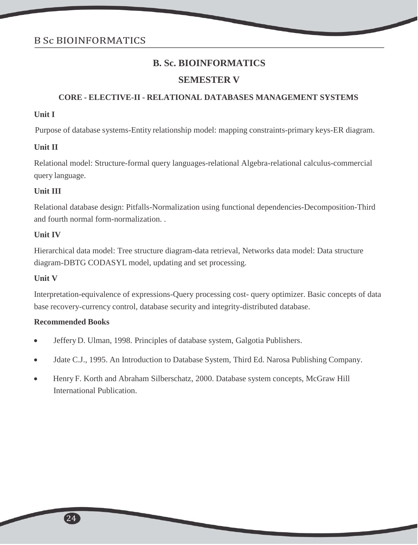# **SEMESTER V**

# **CORE - ELECTIVE-II - RELATIONAL DATABASES MANAGEMENT SYSTEMS**

## **Unit I**

Purpose of database systems-Entity relationship model: mapping constraints-primary keys-ER diagram.

#### **Unit II**

Relational model: Structure-formal query languages-relational Algebra-relational calculus-commercial query language.

#### **Unit III**

Relational database design: Pitfalls-Normalization using functional dependencies-Decomposition-Third and fourth normal form-normalization. .

#### **Unit IV**

Hierarchical data model: Tree structure diagram-data retrieval, Networks data model: Data structure diagram-DBTG CODASYL model, updating and set processing.

# **Unit V**

Interpretation-equivalence of expressions-Query processing cost- query optimizer. Basic concepts of data base recovery-currency control, database security and integrity-distributed database.

- JefferyD. Ulman, 1998. Principles of database system, Galgotia Publishers.
- Jdate C.J., 1995. An Introduction to Database System, Third Ed. Narosa Publishing Company.
- Henry F. Korth and Abraham Silberschatz, 2000. Database system concepts, McGraw Hill International Publication.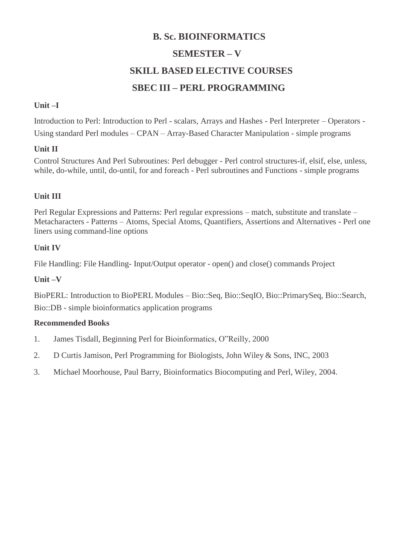# **B. Sc. BIOINFORMATICS SEMESTER – V SKILL BASED ELECTIVE COURSES SBEC III – PERL PROGRAMMING**

# **Unit –I**

Introduction to Perl: Introduction to Perl - scalars, Arrays and Hashes - Perl Interpreter – Operators - Using standard Perl modules – CPAN – Array-Based Character Manipulation - simple programs

# **Unit II**

Control Structures And Perl Subroutines: Perl debugger - Perl control structures-if, elsif, else, unless, while, do-while, until, do-until, for and foreach - Perl subroutines and Functions - simple programs

# **Unit III**

Perl Regular Expressions and Patterns: Perl regular expressions – match, substitute and translate – Metacharacters - Patterns – Atoms, Special Atoms, Quantifiers, Assertions and Alternatives - Perl one liners using command-line options

# **Unit IV**

File Handling: File Handling- Input/Output operator - open() and close() commands Project

# **Unit –V**

BioPERL: Introduction to BioPERL Modules – Bio::Seq, Bio::SeqIO, Bio::PrimarySeq, Bio::Search, Bio::DB - simple bioinformatics application programs

- 1. James Tisdall, Beginning Perl for Bioinformatics, O"Reilly, 2000
- 2. D Curtis Jamison, Perl Programming for Biologists, John Wiley & Sons, INC, 2003
- 3. Michael Moorhouse, Paul Barry, Bioinformatics Biocomputing and Perl, Wiley, 2004.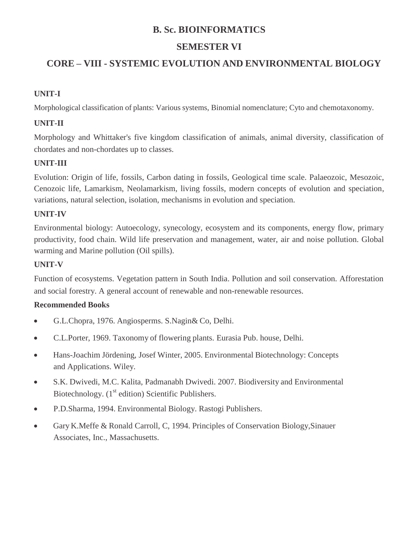# **SEMESTER VI**

# **CORE – VIII - SYSTEMIC EVOLUTION AND ENVIRONMENTAL BIOLOGY**

# **UNIT-I**

Morphological classification of plants: Various systems, Binomial nomenclature; Cyto and chemotaxonomy.

# **UNIT-II**

Morphology and Whittaker's five kingdom classification of animals, animal diversity, classification of chordates and non-chordates up to classes.

# **UNIT-III**

Evolution: Origin of life, fossils, Carbon dating in fossils, Geological time scale. Palaeozoic, Mesozoic, Cenozoic life, Lamarkism, Neolamarkism, living fossils, modern concepts of evolution and speciation, variations, natural selection, isolation, mechanisms in evolution and speciation.

# **UNIT-IV**

Environmental biology: Autoecology, synecology, ecosystem and its components, energy flow, primary productivity, food chain. Wild life preservation and management, water, air and noise pollution. Global warming and Marine pollution (Oil spills).

# **UNIT-V**

Function of ecosystems. Vegetation pattern in South India. Pollution and soil conservation. Afforestation and social forestry. A general account of renewable and non-renewable resources.

- G.L.Chopra, 1976. Angiosperms. S.Nagin& Co, Delhi.
- C.L.Porter, 1969. Taxonomy of flowering plants. Eurasia Pub. house, Delhi.
- Hans-Joachim Jördening, Josef Winter, 2005. Environmental Biotechnology: Concepts and Applications. Wiley.
- S.K. Dwivedi, M.C. Kalita, Padmanabh Dwivedi. 2007. Biodiversity and Environmental Biotechnology.  $(1<sup>st</sup>$  edition) Scientific Publishers.
- P.D.Sharma, 1994. Environmental Biology. Rastogi Publishers.
- GaryK.Meffe & Ronald Carroll, C, 1994. Principles of Conservation Biology,Sinauer Associates, Inc., Massachusetts.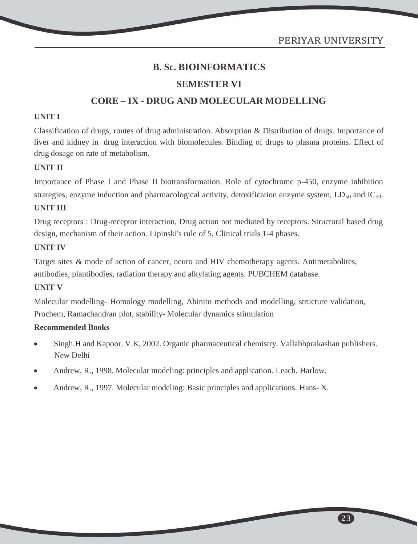# **SEMESTER VI**

# **CORE – IX - DRUG AND MOLECULAR MODELLING**

#### **UNIT I**

Classification of drugs, routes of drug administration. Absorption & Distribution of drugs. Importance of liver and kidney in drug interaction with biomolecules. Binding of drugs to plasma proteins. Effect of drug dosage on rate of metabolism.

#### **UNIT II**

Importance of Phase I and Phase II biotransformation. Role of cytochrome p-450, enzyme inhibition strategies, enzyme induction and pharmacological activity, detoxification enzyme system,  $LD_{50}$  and  $IC_{50}$ .

#### **UNIT III**

Drug receptors : Drug-receptor interaction, Drug action not mediated by receptors. Structural based drug design, mechanism of their action. Lipinski's rule of 5, Clinical trials 1-4 phases.

#### **UNIT IV**

Target sites & mode of action of cancer, neuro and HIV chemotherapy agents. Antimetabolites, antibodies, plantibodies, radiation therapy and alkylating agents. PUBCHEM database.

#### **UNIT V**

Molecular modelling- Homology modelling, Abinito methods and modelling, structure validation, Prochem, Ramachandran plot, stability- Molecular dynamics stimulation

#### **Recommended Books**

- Singh.H and Kapoor. V.K, 2002. Organic pharmaceutical chemistry. Vallabhprakashan publishers. New Delhi
- Andrew, R., 1998. Molecular modeling: principles and application. Leach. Harlow.
- Andrew, R., 1997. Molecular modeling: Basic principles and applications. Hans- X.

23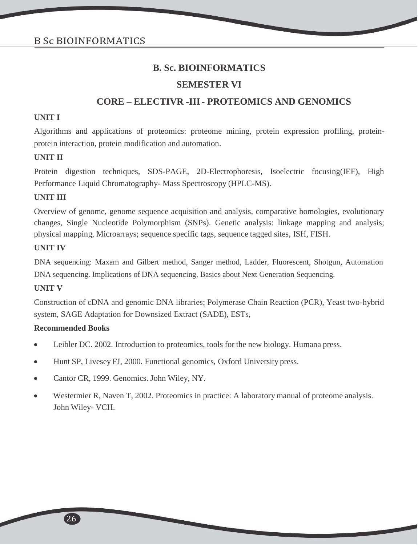# **SEMESTER VI**

# **CORE – ELECTIVR -III- PROTEOMICS AND GENOMICS**

#### **UNIT I**

Algorithms and applications of proteomics: proteome mining, protein expression profiling, proteinprotein interaction, protein modification and automation.

#### **UNIT II**

Protein digestion techniques, SDS-PAGE, 2D-Electrophoresis, Isoelectric focusing(IEF), High Performance Liquid Chromatography- Mass Spectroscopy (HPLC-MS).

# **UNIT III**

Overview of genome, genome sequence acquisition and analysis, comparative homologies, evolutionary changes, Single Nucleotide Polymorphism (SNPs). Genetic analysis: linkage mapping and analysis; physical mapping, Microarrays; sequence specific tags, sequence tagged sites, ISH, FISH.

#### **UNIT IV**

DNA sequencing: Maxam and Gilbert method, Sanger method, Ladder, Fluorescent, Shotgun, Automation DNA sequencing. Implications of DNA sequencing. Basics about Next Generation Sequencing.

# **UNIT V**

Construction of cDNA and genomic DNA libraries; Polymerase Chain Reaction (PCR), Yeast two-hybrid system, SAGE Adaptation for Downsized Extract (SADE), ESTs,

- Leibler DC. 2002. Introduction to proteomics, tools for the new biology. Humana press.
- Hunt SP, Livesey FJ, 2000. Functional genomics, Oxford University press.
- Cantor CR, 1999. Genomics. John Wiley, NY.
- Westermier R, Naven T, 2002. Proteomics in practice: A laboratory manual of proteome analysis. John Wiley- VCH.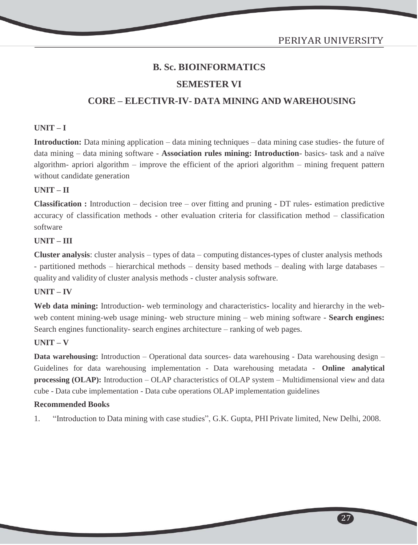# **SEMESTER VI**

# **CORE – ELECTIVR-IV- DATA MINING AND WAREHOUSING**

#### **UNIT – I**

**Introduction:** Data mining application – data mining techniques – data mining case studies- the future of data mining – data mining software - **Association rules mining: Introduction**- basics- task and a naïve algorithm- apriori algorithm – improve the efficient of the apriori algorithm – mining frequent pattern without candidate generation

#### **UNIT – II**

**Classification :** Introduction – decision tree – over fitting and pruning - DT rules- estimation predictive accuracy of classification methods - other evaluation criteria for classification method – classification software

#### **UNIT – III**

**Cluster analysis**: cluster analysis – types of data – computing distances-types of cluster analysis methods - partitioned methods – hierarchical methods – density based methods – dealing with large databases – quality and validity of cluster analysis methods - cluster analysis software.

# **UNIT – IV**

Web data mining: Introduction- web terminology and characteristics- locality and hierarchy in the webweb content mining-web usage mining- web structure mining – web mining software - **Search engines:** Search engines functionality- search engines architecture – ranking of web pages.

## **UNIT – V**

**Data warehousing:** Introduction – Operational data sources- data warehousing - Data warehousing design – Guidelines for data warehousing implementation - Data warehousing metadata - **Online analytical processing (OLAP):** Introduction – OLAP characteristics of OLAP system – Multidimensional view and data cube - Data cube implementation - Data cube operations OLAP implementation guidelines

#### **Recommended Books**

1. "Introduction to Data mining with case studies", G.K. Gupta, PHI Private limited, New Delhi, 2008.

27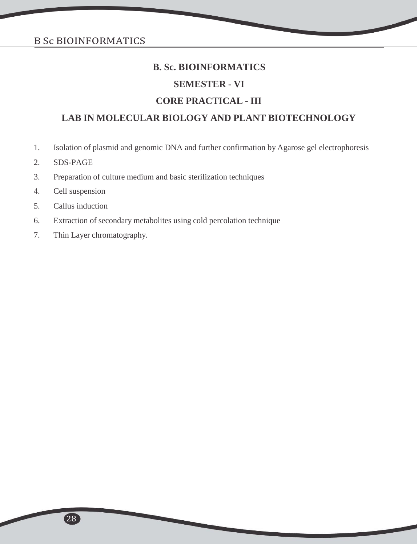# **SEMESTER - VI**

# **CORE PRACTICAL - III**

# **LAB IN MOLECULAR BIOLOGY AND PLANT BIOTECHNOLOGY**

- 1. Isolation of plasmid and genomic DNA and further confirmation by Agarose gel electrophoresis
- 2. SDS-PAGE
- 3. Preparation of culture medium and basic sterilization techniques
- 4. Cell suspension
- 5. Callus induction
- 6. Extraction of secondary metabolites using cold percolation technique
- 7. Thin Layer chromatography.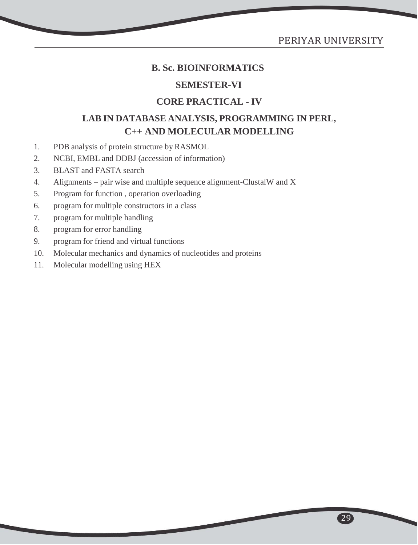# PERIYAR UNIVERSITY

29

# **B. Sc. BIOINFORMATICS**

# **SEMESTER-VI**

# **CORE PRACTICAL - IV**

# **LAB IN DATABASE ANALYSIS, PROGRAMMING IN PERL, C++ AND MOLECULAR MODELLING**

- 1. PDB analysis of protein structure by RASMOL
- 2. NCBI, EMBL and DDBJ (accession of information)
- 3. BLAST and FASTA search
- 4. Alignments pair wise and multiple sequence alignment-ClustalW and X
- 5. Program for function , operation overloading
- 6. program for multiple constructors in a class
- 7. program for multiple handling
- 8. program for error handling
- 9. program for friend and virtual functions
- 10. Molecular mechanics and dynamics of nucleotides and proteins
- 11. Molecular modelling using HEX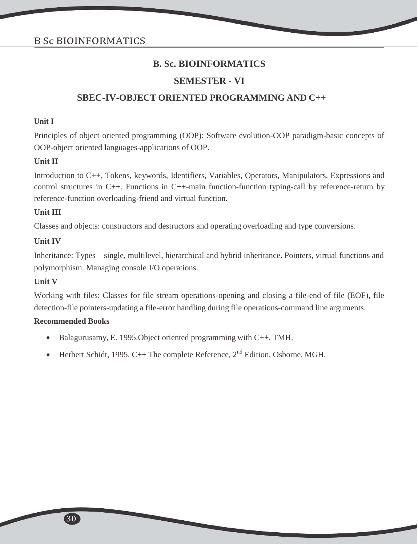# **SEMESTER - VI**

# **SBEC-IV-OBJECT ORIENTED PROGRAMMING AND C++**

#### **Unit I**

Principles of object oriented programming (OOP): Software evolution-OOP paradigm-basic concepts of OOP-object oriented languages-applications of OOP.

#### **Unit II**

Introduction to C++, Tokens, keywords, Identifiers, Variables, Operators, Manipulators, Expressions and control structures in C++. Functions in C++-main function-function typing-call by reference-return by reference-function overloading-friend and virtual function.

#### **Unit III**

Classes and objects: constructors and destructors and operating overloading and type conversions.

#### **Unit IV**

Inheritance: Types – single, multilevel, hierarchical and hybrid inheritance. Pointers, virtual functions and polymorphism. Managing console I/O operations.

#### **Unit V**

Working with files: Classes for file stream operations-opening and closing a file-end of file (EOF), file detection-file pointers-updating a file-error handling during file operations-command line arguments.

- Balagurusamy, E. 1995.Object oriented programming with C++, TMH.
- Herbert Schidt, 1995. C++ The complete Reference,  $2<sup>nd</sup>$  Edition, Osborne, MGH.